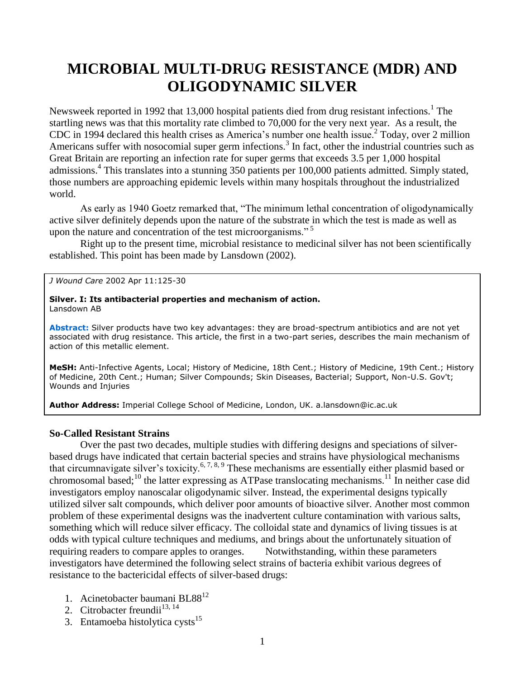# **MICROBIAL MULTI-DRUG RESISTANCE (MDR) AND OLIGODYNAMIC SILVER**

Newsweek reported in 1992 that 13,000 hospital patients died from drug resistant infections.<sup>1</sup> The startling news was that this mortality rate climbed to 70,000 for the very next year. As a result, the CDC in 1994 declared this health crises as America's number one health issue.<sup>2</sup> Today, over 2 million Americans suffer with nosocomial super germ infections.<sup>3</sup> In fact, other the industrial countries such as Great Britain are reporting an infection rate for super germs that exceeds 3.5 per 1,000 hospital admissions. 4 This translates into a stunning 350 patients per 100,000 patients admitted. Simply stated, those numbers are approaching epidemic levels within many hospitals throughout the industrialized world.

As early as 1940 Goetz remarked that, "The minimum lethal concentration of oligodynamically active silver definitely depends upon the nature of the substrate in which the test is made as well as upon the nature and concentration of the test microorganisms."<sup>5</sup>

Right up to the present time, microbial resistance to medicinal silver has not been scientifically established. This point has been made by Lansdown (2002).

*J Wound Care* 2002 Apr 11:125-30

#### **Silver. I: Its antibacterial properties and mechanism of action.** Lansdown AB

**Abstract:** Silver products have two key advantages: they are broad-spectrum antibiotics and are not yet associated with drug resistance. This article, the first in a two-part series, describes the main mechanism of action of this metallic element.

**MeSH:** Anti-Infective Agents, Local; History of Medicine, 18th Cent.; History of Medicine, 19th Cent.; History of Medicine, 20th Cent.; Human; Silver Compounds; Skin Diseases, Bacterial; Support, Non-U.S. Gov't; Wounds and Injuries

**Author Address:** Imperial College School of Medicine, London, UK. a.lansdown@ic.ac.uk

# **So-Called Resistant Strains**

Over the past two decades, multiple studies with differing designs and speciations of silverbased drugs have indicated that certain bacterial species and strains have physiological mechanisms that circumnavigate silver's toxicity.<sup>6, 7, 8, 9</sup> These mechanisms are essentially either plasmid based or chromosomal based;<sup>10</sup> the latter expressing as ATPase translocating mechanisms.<sup>11</sup> In neither case did investigators employ nanoscalar oligodynamic silver. Instead, the experimental designs typically utilized silver salt compounds, which deliver poor amounts of bioactive silver. Another most common problem of these experimental designs was the inadvertent culture contamination with various salts, something which will reduce silver efficacy. The colloidal state and dynamics of living tissues is at odds with typical culture techniques and mediums, and brings about the unfortunately situation of requiring readers to compare apples to oranges. Notwithstanding, within these parameters investigators have determined the following select strains of bacteria exhibit various degrees of resistance to the bactericidal effects of silver-based drugs:

- 1. Acinetobacter baumani BL88<sup>12</sup>
- 2. Citrobacter freundii $^{13, 14}$
- 3. Entamoeba histolytica cysts $15$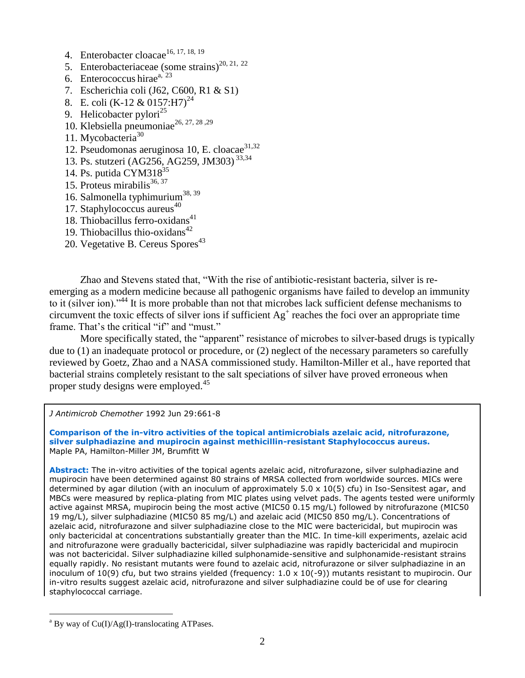- 4. Enterobacter cloacae<sup>16, 17, 18, 19</sup>
- 5. Enterobacteriaceae (some strains)<sup>20, 21, 22</sup>
- 6. Enterococcus hirae<sup>a, 23</sup>
- 7. Escherichia coli (J62, C600, R1 & S1)
- 8. E. coli (K-12 & 0157:H7)<sup>24</sup>
- 9. Helicobacter pylori $^{25}$
- 10. Klebsiella pneumoniae<sup>26, 27, 28, 29</sup>
- 11. Mycobacteria<sup>30</sup>
- 12. Pseudomonas aeruginosa 10, E. cloacae<sup>31,32</sup>
- 13. Ps. stutzeri (AG256, AG259, JM303) 33,34
- 14. Ps. putida  $CYM318^{35}$
- 15. Proteus mirabilis $36, 37$
- 16. Salmonella typhimurium<sup>38, 39</sup>
- 17. Staphylococcus aureus $40$
- 18. Thiobacillus ferro-oxidans $41$
- 19. Thiobacillus thio-oxidans $42$
- 20. Vegetative B. Cereus Spores<sup>43</sup>

Zhao and Stevens stated that, "With the rise of antibiotic-resistant bacteria, silver is reemerging as a modern medicine because all pathogenic organisms have failed to develop an immunity to it (silver ion)."<sup>44</sup> It is more probable than not that microbes lack sufficient defense mechanisms to circumvent the toxic effects of silver ions if sufficient  $Ag^+$  reaches the foci over an appropriate time frame. That's the critical "if" and "must."

More specifically stated, the "apparent" resistance of microbes to silver-based drugs is typically due to (1) an inadequate protocol or procedure, or (2) neglect of the necessary parameters so carefully reviewed by Goetz, Zhao and a NASA commissioned study. Hamilton-Miller et al., have reported that bacterial strains completely resistant to the salt speciations of silver have proved erroneous when proper study designs were employed. 45

*J Antimicrob Chemother* 1992 Jun 29:661-8

**Comparison of the in-vitro activities of the topical antimicrobials azelaic acid, nitrofurazone, silver sulphadiazine and mupirocin against methicillin-resistant Staphylococcus aureus.** Maple PA, Hamilton-Miller JM, Brumfitt W

**Abstract:** The in-vitro activities of the topical agents azelaic acid, nitrofurazone, silver sulphadiazine and mupirocin have been determined against 80 strains of MRSA collected from worldwide sources. MICs were determined by agar dilution (with an inoculum of approximately 5.0 x 10(5) cfu) in Iso-Sensitest agar, and MBCs were measured by replica-plating from MIC plates using velvet pads. The agents tested were uniformly active against MRSA, mupirocin being the most active (MIC50 0.15 mg/L) followed by nitrofurazone (MIC50 19 mg/L), silver sulphadiazine (MIC50 85 mg/L) and azelaic acid (MIC50 850 mg/L). Concentrations of azelaic acid, nitrofurazone and silver sulphadiazine close to the MIC were bactericidal, but mupirocin was only bactericidal at concentrations substantially greater than the MIC. In time-kill experiments, azelaic acid and nitrofurazone were gradually bactericidal, silver sulphadiazine was rapidly bactericidal and mupirocin was not bactericidal. Silver sulphadiazine killed sulphonamide-sensitive and sulphonamide-resistant strains equally rapidly. No resistant mutants were found to azelaic acid, nitrofurazone or silver sulphadiazine in an inoculum of 10(9) cfu, but two strains yielded (frequency: 1.0 x 10(-9)) mutants resistant to mupirocin. Our in-vitro results suggest azelaic acid, nitrofurazone and silver sulphadiazine could be of use for clearing staphylococcal carriage.

 $\overline{a}$ 

 $a^a$  By way of Cu(I)/Ag(I)-translocating ATPases.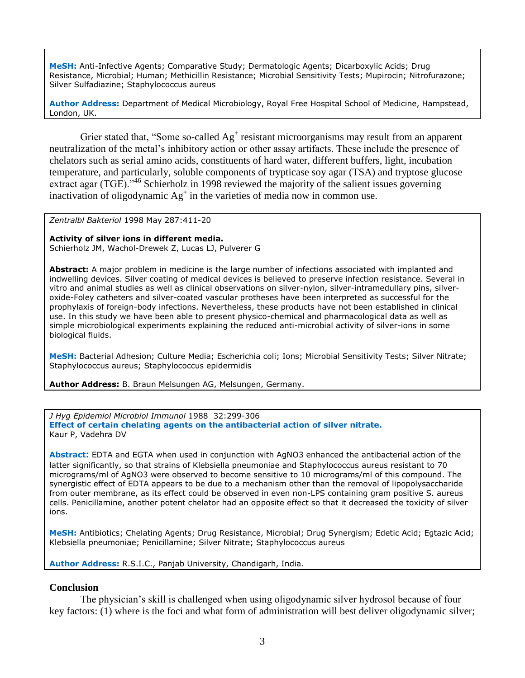**MeSH:** Anti-Infective Agents; Comparative Study; Dermatologic Agents; Dicarboxylic Acids; Drug Resistance, Microbial; Human; Methicillin Resistance; Microbial Sensitivity Tests; Mupirocin; Nitrofurazone; Silver Sulfadiazine; Staphylococcus aureus

**Author Address:** Department of Medical Microbiology, Royal Free Hospital School of Medicine, Hampstead, London, UK.

Grier stated that, "Some so-called  $Ag<sup>+</sup>$  resistant microorganisms may result from an apparent neutralization of the metal's inhibitory action or other assay artifacts. These include the presence of chelators such as serial amino acids, constituents of hard water, different buffers, light, incubation temperature, and particularly, soluble components of trypticase soy agar (TSA) and tryptose glucose extract agar (TGE)."<sup>46</sup> Schierholz in 1998 reviewed the majority of the salient issues governing inactivation of oligodynamic Ag<sup>+</sup> in the varieties of media now in common use.

*Zentralbl Bakteriol* 1998 May 287:411-20

**Activity of silver ions in different media.**

Schierholz JM, Wachol-Drewek Z, Lucas LJ, Pulverer G

**Abstract:** A major problem in medicine is the large number of infections associated with implanted and indwelling devices. Silver coating of medical devices is believed to preserve infection resistance. Several in vitro and animal studies as well as clinical observations on silver-nylon, silver-intramedullary pins, silveroxide-Foley catheters and silver-coated vascular protheses have been interpreted as successful for the prophylaxis of foreign-body infections. Nevertheless, these products have not been established in clinical use. In this study we have been able to present physico-chemical and pharmacological data as well as simple microbiological experiments explaining the reduced anti-microbial activity of silver-ions in some biological fluids.

**MeSH:** Bacterial Adhesion; Culture Media; Escherichia coli; Ions; Microbial Sensitivity Tests; Silver Nitrate; Staphylococcus aureus; Staphylococcus epidermidis

**Author Address:** B. Braun Melsungen AG, Melsungen, Germany.

*J Hyg Epidemiol Microbiol Immunol* 1988 32:299-306 **Effect of certain chelating agents on the antibacterial action of silver nitrate.** Kaur P, Vadehra DV

**Abstract:** EDTA and EGTA when used in conjunction with AgNO3 enhanced the antibacterial action of the latter significantly, so that strains of Klebsiella pneumoniae and Staphylococcus aureus resistant to 70 micrograms/ml of AgNO3 were observed to become sensitive to 10 micrograms/ml of this compound. The synergistic effect of EDTA appears to be due to a mechanism other than the removal of lipopolysaccharide from outer membrane, as its effect could be observed in even non-LPS containing gram positive S. aureus cells. Penicillamine, another potent chelator had an opposite effect so that it decreased the toxicity of silver ions.

**MeSH:** Antibiotics; Chelating Agents; Drug Resistance, Microbial; Drug Synergism; Edetic Acid; Egtazic Acid; Klebsiella pneumoniae; Penicillamine; Silver Nitrate; Staphylococcus aureus

**Author Address:** R.S.I.C., Panjab University, Chandigarh, India.

## **Conclusion**

The physician's skill is challenged when using oligodynamic silver hydrosol because of four key factors: (1) where is the foci and what form of administration will best deliver oligodynamic silver;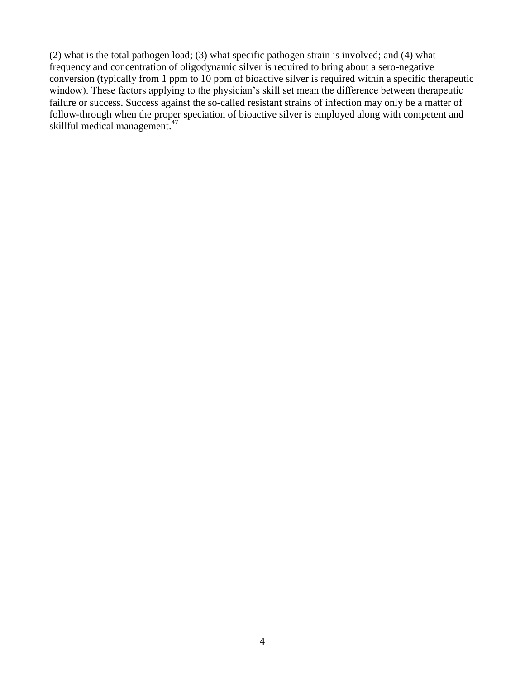(2) what is the total pathogen load; (3) what specific pathogen strain is involved; and (4) what frequency and concentration of oligodynamic silver is required to bring about a sero-negative conversion (typically from 1 ppm to 10 ppm of bioactive silver is required within a specific therapeutic window). These factors applying to the physician's skill set mean the difference between therapeutic failure or success. Success against the so-called resistant strains of infection may only be a matter of follow-through when the proper speciation of bioactive silver is employed along with competent and skillful medical management. 47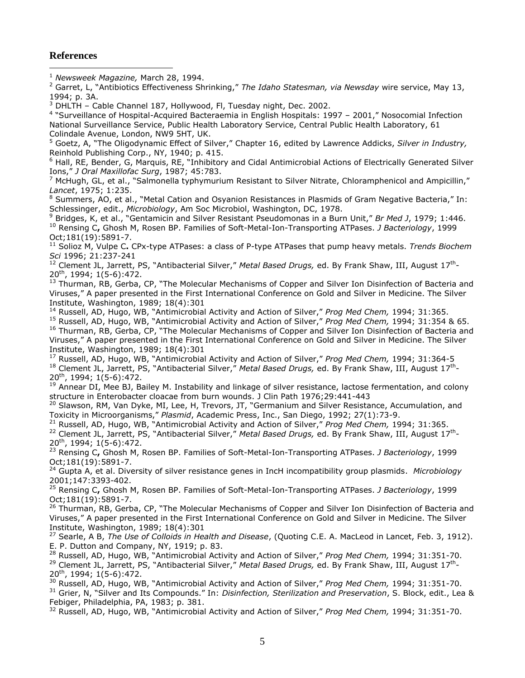### **References**

 $\overline{a}$ 

<sup>1</sup> *Newsweek Magazine,* March 28, 1994.

<sup>2</sup> Garret, L, "Antibiotics Effectiveness Shrinking," *The Idaho Statesman, via Newsday* wire service, May 13, 1994; p. 3A.

 $3$  DHLTH – Cable Channel 187, Hollywood, Fl, Tuesday night, Dec. 2002.

4 "Surveillance of Hospital-Acquired Bacteraemia in English Hospitals: 1997 – 2001," Nosocomial Infection National Surveillance Service, Public Health Laboratory Service, Central Public Health Laboratory, 61 Colindale Avenue, London, NW9 5HT, UK.

<sup>5</sup> Goetz, A, "The Oligodynamic Effect of Silver," Chapter 16, edited by Lawrence Addicks, *Silver in Industry,*  Reinhold Publishing Corp., NY, 1940; p. 415.

 $6$  Hall, RE, Bender, G, Marquis, RE, "Inhibitory and Cidal Antimicrobial Actions of Electrically Generated Silver Ions," *J Oral Maxillofac Surg*, 1987; 45:783.

 $<sup>7</sup>$  McHugh, GL, et al., "Salmonella typhymurium Resistant to Silver Nitrate, Chloramphenicol and Ampicillin,"</sup> *Lancet*, 1975; 1:235.

<sup>8</sup> Summers, AO, et al., "Metal Cation and Osyanion Resistances in Plasmids of Gram Negative Bacteria," In: Schlessinger, edit., *Microbiology*, Am Soc Microbiol, Washington, DC, 1978.

<sup>9</sup> Bridges, K, et al., "Gentamicin and Silver Resistant Pseudomonas in a Burn Unit," *Br Med J*, 1979; 1:446. <sup>10</sup> Rensing C**,** Ghosh M, Rosen BP. Families of Soft-Metal-Ion-Transporting ATPases. *J Bacteriology*, 1999 Oct;181(19):5891-7.

<sup>11</sup> Solioz M, Vulpe C**.** CPx-type ATPases: a class of P-type ATPases that pump heavy metals. *Trends Biochem Sci* 1996; 21:237-241

<sup>12</sup> Clement JL, Jarrett, PS, "Antibacterial Silver," Metal Based Drugs, ed. By Frank Shaw, III, August 17<sup>th</sup>-20th , 1994; 1(5-6):472.

<sup>13</sup> Thurman, RB, Gerba, CP, "The Molecular Mechanisms of Copper and Silver Ion Disinfection of Bacteria and Viruses," A paper presented in the First International Conference on Gold and Silver in Medicine. The Silver Institute, Washington, 1989; 18(4):301

<sup>14</sup> Russell, AD, Hugo, WB, "Antimicrobial Activity and Action of Silver," *Prog Med Chem,* 1994; 31:365.

<sup>15</sup> Russell, AD, Hugo, WB, "Antimicrobial Activity and Action of Silver," *Prog Med Chem,* 1994; 31:354 & 65. <sup>16</sup> Thurman, RB, Gerba, CP, "The Molecular Mechanisms of Copper and Silver Ion Disinfection of Bacteria and Viruses," A paper presented in the First International Conference on Gold and Silver in Medicine. The Silver Institute, Washington, 1989; 18(4):301

<sup>17</sup> Russell, AD, Hugo, WB, "Antimicrobial Activity and Action of Silver," *Prog Med Chem,* 1994; 31:364-5 <sup>18</sup> Clement JL, Jarrett, PS, "Antibacterial Silver," Metal Based Drugs, ed. By Frank Shaw, III, August 17<sup>th</sup>-20th, 1994; 1(5-6):472.

<sup>19</sup> Annear DI, Mee BJ, Bailey M. Instability and linkage of silver resistance, lactose fermentation, and colony structure in Enterobacter cloacae from burn wounds. J Clin Path 1976;29:441-443

<sup>20</sup> Slawson, RM, Van Dyke, MI, Lee, H, Trevors, JT, "Germanium and Silver Resistance, Accumulation, and Toxicity in Microorganisms," *Plasmid*, Academic Press, Inc., San Diego, 1992; 27(1):73-9.

<sup>21</sup> Russell, AD, Hugo, WB, "Antimicrobial Activity and Action of Silver," *Prog Med Chem,* 1994; 31:365. <sup>22</sup> Clement JL, Jarrett, PS, "Antibacterial Silver," Metal Based Drugs, ed. By Frank Shaw, III, August 17<sup>th</sup>-20th, 1994; 1(5-6):472.

<sup>23</sup> Rensing C**,** Ghosh M, Rosen BP. Families of Soft-Metal-Ion-Transporting ATPases. *J Bacteriology*, 1999 Oct;181(19):5891-7.

<sup>24</sup> Gupta A, et al. Diversity of silver resistance genes in IncH incompatibility group plasmids. *Microbiology* 2001;147:3393-402.

<sup>25</sup> Rensing C**,** Ghosh M, Rosen BP. Families of Soft-Metal-Ion-Transporting ATPases. *J Bacteriology*, 1999 Oct;181(19):5891-7.

<sup>26</sup> Thurman, RB, Gerba, CP, "The Molecular Mechanisms of Copper and Silver Ion Disinfection of Bacteria and Viruses," A paper presented in the First International Conference on Gold and Silver in Medicine. The Silver Institute, Washington, 1989; 18(4):301

<sup>27</sup> Searle, A B, *The Use of Colloids in Health and Disease*, (Quoting C.E. A. MacLeod in Lancet, Feb. 3, 1912). E. P. Dutton and Company, NY, 1919; p. 83.

<sup>28</sup> Russell, AD, Hugo, WB, "Antimicrobial Activity and Action of Silver," *Prog Med Chem,* 1994; 31:351-70.

<sup>29</sup> Clement JL, Jarrett, PS, "Antibacterial Silver," Metal Based Drugs, ed. By Frank Shaw, III, August 17<sup>th</sup>-20th, 1994; 1(5-6):472.

<sup>30</sup> Russell, AD, Hugo, WB, "Antimicrobial Activity and Action of Silver," *Prog Med Chem,* 1994; 31:351-70.

<sup>31</sup> Grier, N, "Silver and Its Compounds." In: *Disinfection, Sterilization and Preservation*, S. Block, edit., Lea & Febiger, Philadelphia, PA, 1983; p. 381.

<sup>32</sup> Russell, AD, Hugo, WB, "Antimicrobial Activity and Action of Silver," *Prog Med Chem,* 1994; 31:351-70.